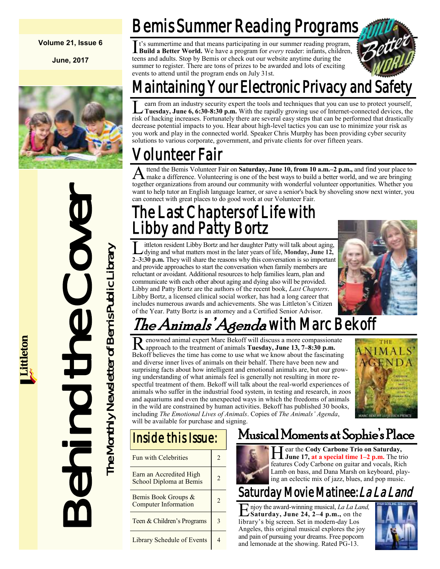#### **Volume 21, Issue 6**

**June, 2017**



Behind the Cover The Monthly Newsletter of Bemis Public Library The Monthly Newsletter of Bemis Public Library

## Bemis Summer Reading Programs

It's summertime and that means participating in our summer reading program, Build a Better World. We have a program for *every* reader: infants, children, **Build a Better World.** We have a program for *every* reader: infants, children, teens and adults. Stop by Bemis or check out our website anytime during the summer to register. There are tons of prizes to be awarded and lots of exciting events to attend until the program ends on July 31st.



## Maintaining Your Electronic Privacy and Safety

L earn from an industry security expert the tools and techniques that you can use to protect yourself,<br>Tuesday, June 6, 6:30-8:30 p.m. With the rapidly growing use of Internet-connected devices, the<br>risk of hacking increas earn from an industry security expert the tools and techniques that you can use to protect yourself, **Tuesday, June 6, 6:30-8:30 p.m.** With the rapidly growing use of Internet-connected devices, the decrease potential impacts to you. Hear about high-level tactics you can use to minimize your risk as you work and play in the connected world. Speaker Chris Murphy has been providing cyber security solutions to various corporate, government, and private clients for over fifteen years.

## olunteer Fair

A ttend the Bemis Volunteer Fair on Saturday, June 10, from 10 a.m.–2 p.m., and find your place to make a difference. Volunteering is one of the best ways to build a better world, and we are bringing ttend the Bemis Volunteer Fair on **Saturday, June 10, from 10 a.m.–2 p.m.,** and find your place to together organizations from around our community with wonderful volunteer opportunities. Whether you want to help tutor an English language learner, or save a senior's back by shoveling snow next winter, you can connect with great places to do good work at our Volunteer Fair.

### I he Last Chapters of Life with Libby and Patty Bortz

L dying and what matters most in the later years of life, **Monday, June 12,**  ittleton resident Libby Bortz and her daughter Patty will talk about aging, **2–3:30 p.m.** They will share the reasons why this conversation is so important and provide approaches to start the conversation when family members are reluctant or avoidant. Additional resources to help families learn, plan and communicate with each other about aging and dying also will be provided. Libby and Patty Bortz are the authors of the recent book, *Last Chapters*. Libby Bortz, a licensed clinical social worker, has had a long career that includes numerous awards and achievements. She was Littleton's Citizen of the Year. Patty Bortz is an attorney and a Certified Senior Advisor.



## *The Animals' Agenda* with Marc Bekoff

Renowned animal expert Marc Bekoff will discuss a more compassional approach to the treatment of animals **Tuesday**, June 13, 7–8:30 p.m. enowned animal expert Marc Bekoff will discuss a more compassionate Bekoff believes the time has come to use what we know about the fascinating and diverse inner lives of animals on their behalf. There have been new and surprising facts about how intelligent and emotional animals are, but our growing understanding of what animals feel is generally not resulting in more respectful treatment of them. Bekoff will talk about the real-world experiences of animals who suffer in the industrial food system, in testing and research, in zoos and aquariums and even the unexpected ways in which the freedoms of animals in the wild are constrained by human activities. Bekoff has published 30 books, including *The Emotional Lives of Animals*. Copies of *The Animals' Agenda*, will be available for purchase and signing.



#### Inside this Issue:

| Fun with Celebrities                               | 2              |
|----------------------------------------------------|----------------|
| Earn an Accredited High<br>School Diploma at Bemis | $\overline{c}$ |
| Bemis Book Groups &<br><b>Computer Information</b> | 2              |
| Teen & Children's Programs                         | 3              |
| Library Schedule of Events                         |                |
|                                                    |                |

#### Musical Moments at Sophie's Place



**H** ear the Cody Carbone Trio on Saturday,<br>June 17, at a special time 1–2 p.m. The trio ear the **Cody Carbone Trio on Saturday,**  features Cody Carbone on guitar and vocals, Rich Lamb on bass, and Dana Marsh on keyboard, playing an eclectic mix of jazz, blues, and pop music.

#### Saturday Movie Matinee: La La Land

E njoy the award-winning musical, *La La Lar*<br>Saturday, June 24, 2–4 p.m., on the njoy the award-winning musical, *La La Land,* library's big screen. Set in modern-day Los Angeles, this original musical explores the joy and pain of pursuing your dreams. Free popcorn and lemonade at the showing. Rated PG-13.

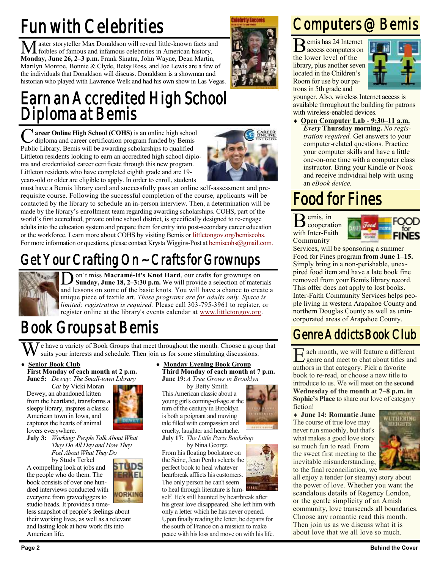## Fun with Celebrities

Master storyteller Max Donaldson will reveal little-known facts and foibles of famous and infamous celebrities in American history, **Monday, June 26, 2–3 p.m.** Frank Sinatra, John Wayne, Dean Martin, Marilyn Monroe, Bonnie & Clyde, Betsy Ross, and Joe Lewis are a few of the individuals that Donaldson will discuss. Donaldson is a showman and historian who played with Lawrence Welk and had his own show in Las Vegas.

### Earn an Accredited High School Diploma at Bemis

**C** areer Online High School (COHS) is an online high school diploma and career certification program funded by Bemis  $\angle$  diploma and career certification program funded by Bemis Public Library. Bemis will be awarding scholarships to qualified Littleton residents looking to earn an accredited high school diploma and credentialed career certificate through this new program. Littleton residents who have completed eighth grade and are 19 years-old or older are eligible to apply. In order to enroll, students



**Islabrity Escores** 

must have a Bemis library card and successfully pass an online self-assessment and prerequisite course. Following the successful completion of the course, applicants will be contacted by the library to schedule an in-person interview. Then, a determination will be made by the library's enrollment team regarding awarding scholarships. COHS, part of the world's first accredited, private online school district, is specifically designed to re-engage adults into the education system and prepare them for entry into post-secondary career education or the workforce. Learn more about COHS by visiting Bemis or [littletongov.org/bemiscohs.](http://www.littletongov.org/bemiscohs) For more information or questions, please contact Krysta Wiggins-Post at [bemiscohs@gmail.com.](mailto:bemiscohs@gmail.com)

## Get Your Crafting On ~ Crafts for Grownups



 $\overline{\text{D}}$ on't miss **Macramé-It's Knot Hard**, our crafts for grownups on **Sunday, June 18, 2–3:30 p.m.** We will provide a selection of materials and lessons on some of the basic knots. You will have a chance to create a unique piece of textile art. *These programs are for adults only. Space is limited; registration is required.* Please call 303-795-3961 to register, or register online at the library's events calendar at [www.littletongov.org.](https://www.littletongov.org/city-services/city-departments/bemis-library/library-events-calendar)

## Book Groups at Bemis

 $\bar{J}$  e have a variety of Book Groups that meet throughout the month. Choose a group that suits your interests and schedule. Then join us for some stimulating discussions.

- **Senior Book Club First Monday of each month at 2 p.m.**
	- **June 5:** *Dewey: The Small-town Library Cat* by Vicki Moran

Dewey, an abandoned kitten from the heartland, transforms a sleepy library, inspires a classic American town in Iowa, and captures the hearts of animal lovers everywhere.

- 
- **July 3:** *Working: People Talk About What They Do All Day and How They Feel About What They Do* by Studs Terkel

A compelling look at jobs and the people who do them. The book consists of over one hundred interviews conducted with everyone from gravediggers to studio heads. It provides a time-

less snapshot of people's feelings about their working lives, as well as a relevant and lasting look at how work fits into American life.

 **Monday Evening Book Group Third Monday of each month at 7 p.m. June 19:***A Tree Grows in Brooklyn*

by Betty Smith

This American classic about a young girl's coming-of-age at the turn of the century in Brooklyn is both a poignant and moving tale filled with compassion and cruelty, laughter and heartache.

**July 17:** *The Little Paris Bookshop*

by Nina George From his floating bookstore on the Seine, Jean Perdu selects the perfect book to heal whatever heartbreak afflicts his customers. The only person he can't seem to heal through literature is him-

self. He's still haunted by heartbreak after his great love disappeared. She left him with only a letter which he has never opened. Upon finally reading the letter, he departs for the south of France on a mission to make peace with his loss and move on with his life.

### Computers @ Bemis

B emis has 24 Internet access computers on the lower level of the library, plus another seven located in the Children's Room for use by our patrons in 5th grade and



younger. Also, wireless Internet access is available throughout the building for patrons with wireless-enabled devices.

 **Open Computer Lab - 9:30–11 a.m.** *Every* **Thursday morning.** *No registration required.* Get answers to your computer-related questions. Practice your computer skills and have a little one-on-one time with a computer class instructor. Bring your Kindle or Nook and receive individual help with using an *eBook device.*

## Food for Fines

B emis, in cooperation with Inter-Faith Community



Services, will be sponsoring a summer Food for Fines program **from June 1–15.** Simply bring in a non-perishable, unexpired food item and have a late book fine removed from your Bemis library record. This offer does not apply to lost books. Inter-Faith Community Services helps people living in western Arapahoe County and northern Douglas County as well as unincorporated areas of Arapahoe County.

#### Genre Addicts Book Club

E ach month, we will feature a different genre and meet to chat about titles and authors in that category. Pick a favorite book to re-read, or choose a new title to introduce to us. We will meet on the **second Wednesday of the month at 7–8 p.m. in Sophie's Place** to share our love of category fiction!

 **June 14: Romantic June** The course of true love may never run smoothly, but that's what makes a good love story so much fun to read. From the sweet first meeting to the inevitable misunderstanding, to the final reconciliation, we



all enjoy a tender (or steamy) story about the power of love. Whether you want the scandalous details of Regency London, or the gentle simplicity of an Amish community, love transcends all boundaries. Choose any romantic read this month. Then join us as we discuss what it is about love that we all love so much.

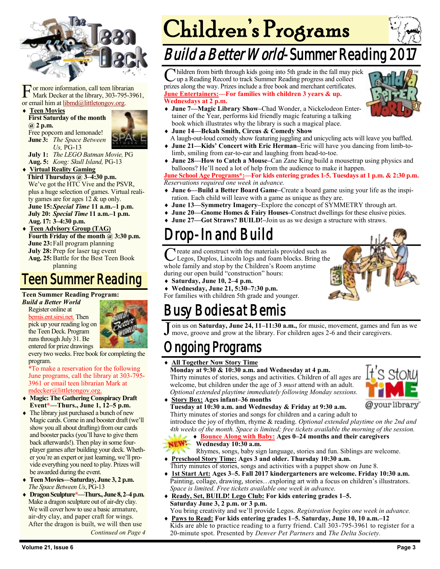

For more information, call teen librar<br>
Mark Decker at the library, 303-795<br>
or email him at <u>libmd@littletongov.org</u>. or more information, call teen librarian Mark Decker at the library, 303-795-3961,

#### **Teen Movies First Saturday of the month @ 2 p.m.** Free popcorn and lemonade!



**July 1:** *The LEGO Batman Movie,* PG

**Aug. 5:** *Kong: Skull Island,* PG-13

 **Virtual Reality Gaming Third Thursdays @ 3–4:30 p.m.** We've got the HTC Vive and the PSVR, plus a huge selection of games. Virtual reality games are for ages 12 & up only. **June 15:***Special Time* **11 a.m.–1 p.m. July 20:** *Special Time* **11 a.m.–1 p.m. Aug. 17: 3–4:30 p.m.**

 **Teen Advisory Group (TAG)** Fourth Friday of the month @ 3:30 p.m. **June 23:**Fall program planning **July 28:** Prep for laser tag event **Aug. 25:**Battle for the Best Teen Book planning

#### Teen Summer Reading

#### **Teen Summer Reading Program:**

*Build a Better World* Register online at [bemis.ent.sirsi.net.](https://bemis.ent.sirsi.net/client/en_US/default/?) Then pick up your reading log on the Teen Deck. Program runs through July 31. Be entered for prize drawings



every two weeks. Free book for completing the program.

\*To make a reservation for the following June programs, call the library at 303-795- 3961 or email teen librarian Mark at [mdecker@littletongov.org.](mailto:mdecker@littletongov.org)

- **Magic: The Gathering Conspiracy Draft Event\*—Thurs., June 1, 12–5 p.m.**
- The library just purchased a bunch of new Magic cards. Come in and booster draft (we'll show you all about drafting) from our cards and booster packs (you'll have to give them back afterwards!). Then play in some fourplayer games after building your deck. Whether you're an expert or just learning, we'll provide everything you need to play. Prizes will be awarded during the event.
- **Teen Movies—Saturday, June 3, 2 p.m.** *The Space Between Us*, PG-13
- **Dragon Sculpture\*—Thurs., June 8, 2–4 p.m.** Make a dragon sculpture out of air-dry clay. We will cover how to use a basic armature, air-dry clay, and paper craft for wings. After the dragon is built, we will then use

*Continued on Page 4*

# Children's Programs

## Build a Better World-Summer Reading 2

C hildren from birth through kids going into 5th grade in the fall may p up a Reading Record to track Summer Reading progress and collect hildren from birth through kids going into 5th grade in the fall may pick prizes along the way. Prizes include a free book and merchant certificates. **June Entertainers:—For families with children 3 years & up. Wednesdays at 2 p.m.**



- **June 7—Magic Library Show–**Chad Wonder, a Nickelodeon Entertainer of the Year, performs kid friendly magic featuring a talking book which illustrates why the library is such a magical place.
- **June 14—Bekah Smith, Circus & Comedy Show**
- A laugh-out-loud comedy show featuring juggling and unicycling acts will leave you baffled. **June 21—Kids' Concert with Eric Herman–**Eric will have you dancing from limb-tolimb, smiling from ear-to-ear and laughing from head-to-toe.
- **June 28—How to Catch a Mouse–**Can Zane King build a mousetrap using physics and balloons? He'll need a lot of help from the audience to make it happen.

**June School Age Programs\*:—For kids entering grades 1-5. Tuesdays at 1 p.m. & 2:30 p.m.** *Reservations required one week in advance.*

- **June 6—Build a Better Board Game–**Create a board game using your life as the inspiration. Each child will leave with a game as unique as they are.
- **June 13—Symmetry Imagery–**Explore the concept of SYMMETRY through art.
- **June 20—Gnome Homes & Fairy Houses–Construct dwellings for these elusive pixies.**
- **June 27—Got Straws? BUILD!–**Join us as we design a structure with straws.

### Drop-In and Build

C reate and construct with the materials provided such as<br>Legos, Duplos, Lincoln logs and foam blocks. Bring the Legos, Duplos, Lincoln logs and foam blocks. Bring the whole family and stop by the Children's Room anytime during our open build "construction" hours:

**Saturday, June 10, 2–4 p.m.**

 **Wednesday, June 21, 5:30–7:30 p.m.** For families with children 5th grade and younger.

### Busy Bodies at Bemis

J oin us on **Saturday, June 24, 11–11:30 a.m.,** for music, movement, games and fun as we move, groove and grow at the library. For children ages 2-6 and their caregivers.

#### ngoing Programs

#### **All Together Now Story Time**

**Monday at 9:30 & 10:30 a.m. and Wednesday at 4 p.m.** Thirty minutes of stories, songs and activities. Children of all ages are welcome, but children under the age of 3 *must* attend with an adult. *Optional extended playtime immediately following Monday sessions.*

- @your library
- **Story Box: Ages infant–36 months Tuesday at 10:30 a.m. and Wednesday & Friday at 9:30 a.m.** Thirty minutes of stories and songs for children and a caring adult to

introduce the joy of rhythm, rhyme & reading. *Optional extended playtime on the 2nd and 4th weeks of the month. Space is limited; free tickets available the morning of the session.*  **Bounce Along with Baby: Ages 0–24 months and their caregivers**



- **Wednesday 10:30 a.m.**
- Rhymes, songs, baby sign language, stories and fun. Siblings are welcome. **Preschool Story Time: Ages 3 and older. Thursday 10:30 a.m.**
- Thirty minutes of stories, songs and activities with a puppet show on June 8.
- **1st Start Art: Ages 3–5. Fall 2017 kindergarteners are welcome. Friday 10:30 a.m.** Painting, collage, drawing, stories…exploring art with a focus on children's illustrators. *Space is limited. Free tickets available one week in advance.*
- **Ready, Set, BUILD! Lego Club: For kids entering grades 1–5. Saturday June 3, 2 p.m. or 3 p.m.**
- You bring creativity and we'll provide Legos. *Registration begins one week in advance.* **Paws to Read: For kids entering grades 1–5. Saturday, June 10, 10 a.m.–12** Kids are able to practice reading to a furry friend. Call 303-795-3961 to register for a 20-minute spot. Presented by *Denver Pet Partners* and *The Delta Society.*